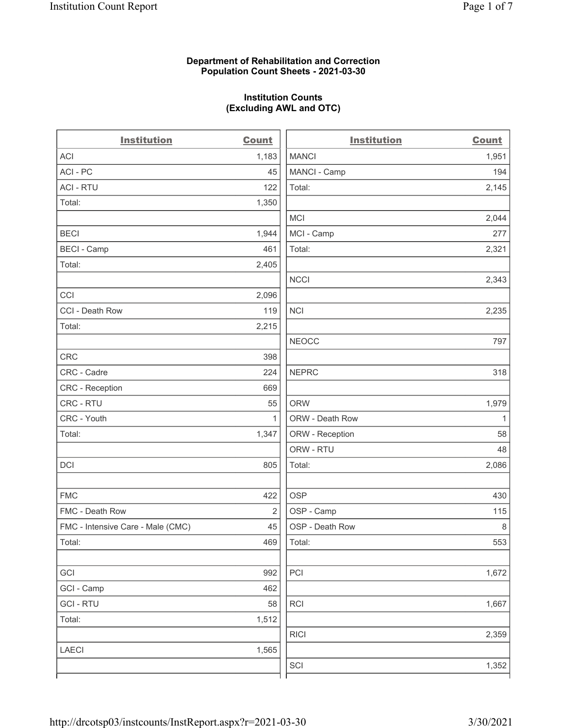#### Department of Rehabilitation and Correction Population Count Sheets - 2021-03-30

### Institution Counts (Excluding AWL and OTC)

. .

| <b>Institution</b>                | <b>Count</b>   | <b>Institution</b> | <b>Count</b> |
|-----------------------------------|----------------|--------------------|--------------|
| <b>ACI</b>                        | 1,183          | <b>MANCI</b>       | 1,951        |
| ACI-PC                            | 45             | MANCI - Camp       | 194          |
| <b>ACI - RTU</b>                  | 122            | Total:             | 2,145        |
| Total:                            | 1,350          |                    |              |
|                                   |                | MCI                | 2,044        |
| <b>BECI</b>                       | 1,944          | MCI - Camp         | 277          |
| <b>BECI - Camp</b>                | 461            | Total:             | 2,321        |
| Total:                            | 2,405          |                    |              |
|                                   |                | <b>NCCI</b>        | 2,343        |
| CCI                               | 2,096          |                    |              |
| CCI - Death Row                   | 119            | <b>NCI</b>         | 2,235        |
| Total:                            | 2,215          |                    |              |
|                                   |                | <b>NEOCC</b>       | 797          |
| <b>CRC</b>                        | 398            |                    |              |
| CRC - Cadre                       | 224            | <b>NEPRC</b>       | 318          |
| <b>CRC</b> - Reception            | 669            |                    |              |
| CRC - RTU                         | 55             | <b>ORW</b>         | 1,979        |
| CRC - Youth                       | 1              | ORW - Death Row    | $\mathbf{1}$ |
| Total:                            | 1,347          | ORW - Reception    | 58           |
|                                   |                | ORW - RTU          | 48           |
| DCI                               | 805            | Total:             | 2,086        |
| <b>FMC</b>                        | 422            | <b>OSP</b>         | 430          |
| FMC - Death Row                   | $\overline{2}$ | OSP - Camp         | 115          |
| FMC - Intensive Care - Male (CMC) | 45             | OSP - Death Row    | 8            |
| Total:                            | 469            | Total:             | 553          |
| GCI                               | 992            | PCI                | 1,672        |
| GCI - Camp                        | 462            |                    |              |
| <b>GCI-RTU</b>                    | 58             | $\sf RCI$          | 1,667        |
| Total:                            | 1,512          |                    |              |
|                                   |                | <b>RICI</b>        | 2,359        |
| LAECI                             | 1,565          |                    |              |
|                                   |                | SCI                | 1,352        |
|                                   |                |                    |              |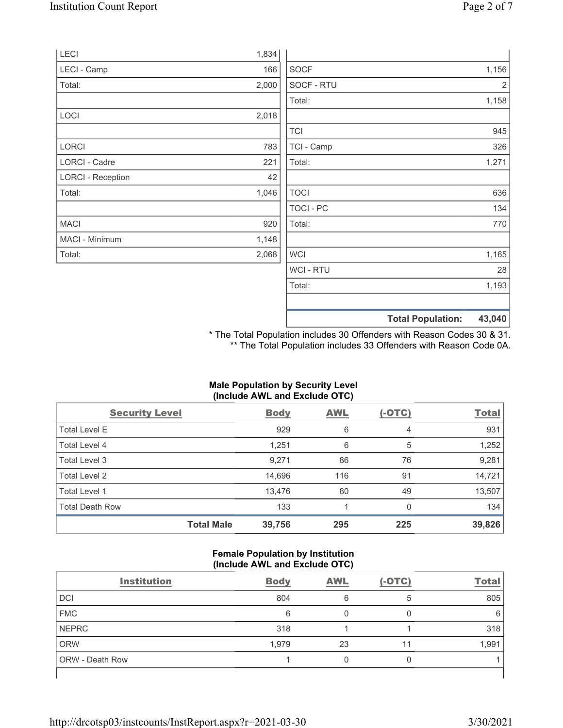|                          |       | <b>Total Population:</b> | 43,040 |
|--------------------------|-------|--------------------------|--------|
|                          |       |                          |        |
|                          |       | Total:                   | 1,193  |
|                          |       | <b>WCI - RTU</b>         | 28     |
| Total:                   | 2,068 | <b>WCI</b>               | 1,165  |
| MACI - Minimum           | 1,148 |                          |        |
| <b>MACI</b>              | 920   | Total:                   | 770    |
|                          |       | <b>TOCI - PC</b>         | 134    |
| Total:                   | 1,046 | <b>TOCI</b>              | 636    |
| <b>LORCI - Reception</b> | 42    |                          |        |
| LORCI - Cadre            | 221   | Total:                   | 1,271  |
| LORCI                    | 783   | TCI - Camp               | 326    |
|                          |       | <b>TCI</b>               | 945    |
| LOCI                     | 2,018 |                          |        |
|                          |       | Total:                   | 1,158  |
| Total:                   | 2,000 | SOCF - RTU               | 2      |
| <b>LECI - Camp</b>       | 166   | <b>SOCF</b>              | 1,156  |
| <b>LECI</b>              | 1,834 |                          |        |

\* The Total Population includes 30 Offenders with Reason Codes 30 & 31. \*\* The Total Population includes 33 Offenders with Reason Code 0A.

# Male Population by Security Level (Include AWL and Exclude OTC)

| <b>Security Level</b>  |                   | <b>Body</b> | <b>AWL</b> | $(-OTC)$ | <b>Total</b> |
|------------------------|-------------------|-------------|------------|----------|--------------|
| <b>Total Level E</b>   |                   | 929         | 6          | 4        | 931          |
| Total Level 4          |                   | 1,251       | 6          | 5        | 1,252        |
| Total Level 3          |                   | 9,271       | 86         | 76       | 9,281        |
| Total Level 2          |                   | 14,696      | 116        | 91       | 14,721       |
| Total Level 1          |                   | 13,476      | 80         | 49       | 13,507       |
| <b>Total Death Row</b> |                   | 133         |            | $\Omega$ | 134          |
|                        | <b>Total Male</b> | 39,756      | 295        | 225      | 39,826       |

#### Female Population by Institution (Include AWL and Exclude OTC)

| <b>Institution</b> | <b>Body</b> | <b>AWL</b> | $(-OTC)$ | <b>Total</b> |
|--------------------|-------------|------------|----------|--------------|
| <b>DCI</b>         | 804         | 6          | 5        | 805          |
| <b>FMC</b>         | 6           |            |          | 6            |
| <b>NEPRC</b>       | 318         |            |          | 318          |
| <b>ORW</b>         | 1,979       | 23         | 11       | 1,991        |
| ORW - Death Row    |             |            |          |              |
|                    |             |            |          |              |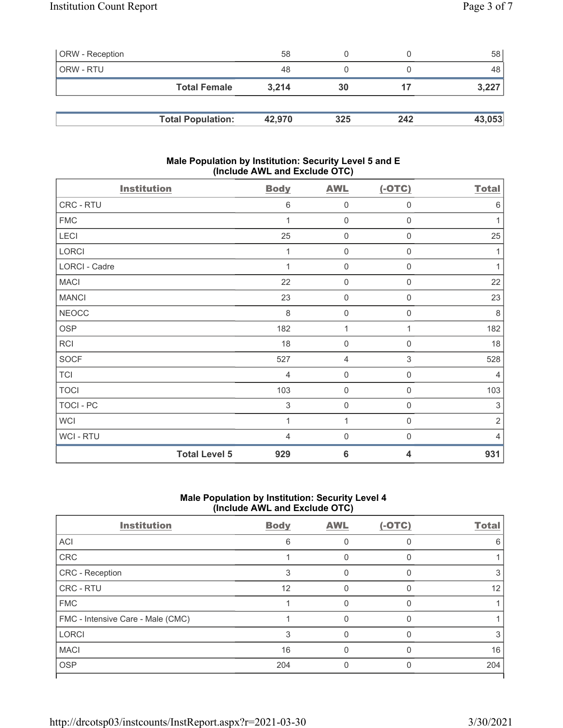| <b>ORW</b> - Reception |                          | 58     |     |     | 58 l   |
|------------------------|--------------------------|--------|-----|-----|--------|
| ORW - RTU              |                          | 48     |     |     | 48     |
|                        | <b>Total Female</b>      | 3.214  | 30  | 17  | 3,227  |
|                        |                          |        |     |     |        |
|                        | <b>Total Population:</b> | 42.970 | 325 | 242 | 43,053 |

### Male Population by Institution: Security Level 5 and E (Include AWL and Exclude OTC)

| <b>Institution</b> |                      | <b>Body</b>    | <b>AWL</b>          | $(-OTC)$         | <b>Total</b>   |
|--------------------|----------------------|----------------|---------------------|------------------|----------------|
| CRC - RTU          |                      | 6              | $\mathbf 0$         | $\boldsymbol{0}$ | $6\,$          |
| <b>FMC</b>         |                      |                | $\mathbf 0$         | $\boldsymbol{0}$ | 1              |
| LECI               |                      | 25             | $\mathbf 0$         | 0                | 25             |
| LORCI              |                      |                | $\mathsf 0$         | 0                | 1              |
| LORCI - Cadre      |                      |                | $\mathbf 0$         | $\boldsymbol{0}$ | $\mathbf{1}$   |
| <b>MACI</b>        |                      | 22             | $\mathsf 0$         | 0                | 22             |
| <b>MANCI</b>       |                      | 23             | $\mathbf 0$         | $\boldsymbol{0}$ | 23             |
| <b>NEOCC</b>       |                      | $\,8\,$        | $\mathsf{O}\xspace$ | $\boldsymbol{0}$ | $\,8\,$        |
| <b>OSP</b>         |                      | 182            | 1                   | 1                | 182            |
| <b>RCI</b>         |                      | 18             | $\mathsf{O}\xspace$ | $\mathbf 0$      | 18             |
| <b>SOCF</b>        |                      | 527            | $\overline{4}$      | $\,$ 3 $\,$      | 528            |
| <b>TCI</b>         |                      | $\overline{4}$ | $\mathsf{O}\xspace$ | 0                | $\overline{4}$ |
| <b>TOCI</b>        |                      | 103            | $\mathsf{O}\xspace$ | $\mathbf 0$      | 103            |
| <b>TOCI - PC</b>   |                      | $\sqrt{3}$     | $\mathbf 0$         | 0                | $\sqrt{3}$     |
| <b>WCI</b>         |                      | 1              | 1                   | $\mathsf 0$      | $\sqrt{2}$     |
| <b>WCI-RTU</b>     |                      | 4              | $\mathbf 0$         | $\mathbf 0$      | $\overline{4}$ |
|                    | <b>Total Level 5</b> | 929            | $6\phantom{1}6$     | 4                | 931            |

# Male Population by Institution: Security Level 4 (Include AWL and Exclude OTC)

| <b>Institution</b>                | <b>Body</b> | <b>AWL</b> | $(-OTC)$ | <b>Total</b> |
|-----------------------------------|-------------|------------|----------|--------------|
| ACI                               | 6           |            | O        | 6            |
| CRC                               |             |            |          |              |
| CRC - Reception                   | 3           |            | O        | З            |
| CRC - RTU                         | 12          |            |          | 12           |
| <b>FMC</b>                        |             |            | U        |              |
| FMC - Intensive Care - Male (CMC) |             |            |          |              |
| <b>LORCI</b>                      | 3           |            | U        |              |
| <b>MACI</b>                       | 16          |            |          | 16           |
| <b>OSP</b>                        | 204         |            |          | 204          |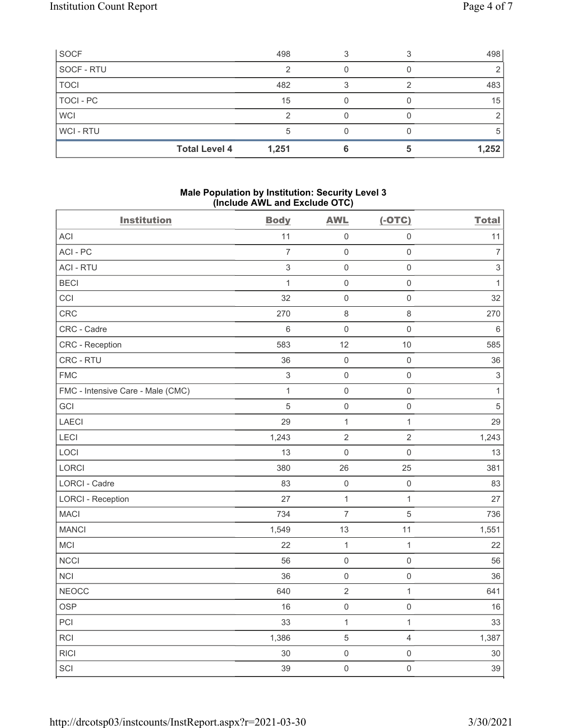| SOCF        | 498                           |  | 498          |
|-------------|-------------------------------|--|--------------|
| SOCF - RTU  |                               |  |              |
| <b>TOCI</b> | 482                           |  | 483          |
| TOCI - PC   | 15                            |  | 15           |
| <b>WCI</b>  |                               |  |              |
| WCI-RTU     |                               |  | <sub>5</sub> |
|             | <b>Total Level 4</b><br>1,251 |  | 1,252        |

#### Male Population by Institution: Security Level 3 (Include AWL and Exclude OTC)

| <b>Institution</b>                | <b>Body</b>               | <b>AWL</b>          | $(-OTC)$            | <b>Total</b>              |
|-----------------------------------|---------------------------|---------------------|---------------------|---------------------------|
| ACI                               | 11                        | $\mathsf{O}\xspace$ | $\mathsf{O}\xspace$ | 11                        |
| ACI-PC                            | $\overline{7}$            | $\mathsf{O}\xspace$ | $\mathsf{O}\xspace$ | $\boldsymbol{7}$          |
| <b>ACI - RTU</b>                  | $\sqrt{3}$                | $\mathbf 0$         | $\mathsf 0$         | $\ensuremath{\mathsf{3}}$ |
| <b>BECI</b>                       | $\mathbf{1}$              | $\mathbf 0$         | $\mathsf{O}\xspace$ | $\mathbf{1}$              |
| CCI                               | 32                        | $\mathbf 0$         | $\mathsf 0$         | 32                        |
| CRC                               | 270                       | $\,8\,$             | 8                   | 270                       |
| CRC - Cadre                       | 6                         | $\mathbf 0$         | $\mathsf 0$         | 6                         |
| CRC - Reception                   | 583                       | 12                  | 10                  | 585                       |
| CRC - RTU                         | 36                        | $\mathsf{O}\xspace$ | $\mathsf 0$         | 36                        |
| <b>FMC</b>                        | $\ensuremath{\mathsf{3}}$ | $\mathbf 0$         | $\mathsf 0$         | $\ensuremath{\mathsf{3}}$ |
| FMC - Intensive Care - Male (CMC) | $\mathbf{1}$              | $\mathsf{O}\xspace$ | $\mathsf{O}\xspace$ | $\mathbf{1}$              |
| <b>GCI</b>                        | 5                         | $\mathbf 0$         | $\mathsf{O}\xspace$ | $\sqrt{5}$                |
| LAECI                             | 29                        | $\mathbf{1}$        | $\mathbf{1}$        | 29                        |
| LECI                              | 1,243                     | $\sqrt{2}$          | $\overline{2}$      | 1,243                     |
| LOCI                              | 13                        | $\mathsf{O}\xspace$ | $\mathsf{O}\xspace$ | 13                        |
| LORCI                             | 380                       | 26                  | 25                  | 381                       |
| <b>LORCI - Cadre</b>              | 83                        | $\mathsf 0$         | $\mathsf{O}\xspace$ | 83                        |
| <b>LORCI - Reception</b>          | 27                        | $\mathbf{1}$        | $\mathbf{1}$        | 27                        |
| <b>MACI</b>                       | 734                       | $\overline{7}$      | $\sqrt{5}$          | 736                       |
| <b>MANCI</b>                      | 1,549                     | 13                  | 11                  | 1,551                     |
| <b>MCI</b>                        | 22                        | $\mathbf{1}$        | $\mathbf{1}$        | 22                        |
| <b>NCCI</b>                       | 56                        | $\mathbf 0$         | $\mathsf{O}\xspace$ | 56                        |
| <b>NCI</b>                        | 36                        | $\mathsf 0$         | $\mathsf{O}\xspace$ | 36                        |
| <b>NEOCC</b>                      | 640                       | $\sqrt{2}$          | $\mathbf{1}$        | 641                       |
| <b>OSP</b>                        | 16                        | $\mathsf 0$         | $\mathsf{O}\xspace$ | 16                        |
| PCI                               | 33                        | $\mathbf{1}$        | $\mathbf{1}$        | 33                        |
| <b>RCI</b>                        | 1,386                     | $\mathbf 5$         | $\overline{4}$      | 1,387                     |
| <b>RICI</b>                       | 30                        | $\mathsf{O}\xspace$ | $\mathsf{O}\xspace$ | $30\,$                    |
| SCI                               | 39                        | $\mathsf{O}\xspace$ | $\mathsf{O}\xspace$ | 39                        |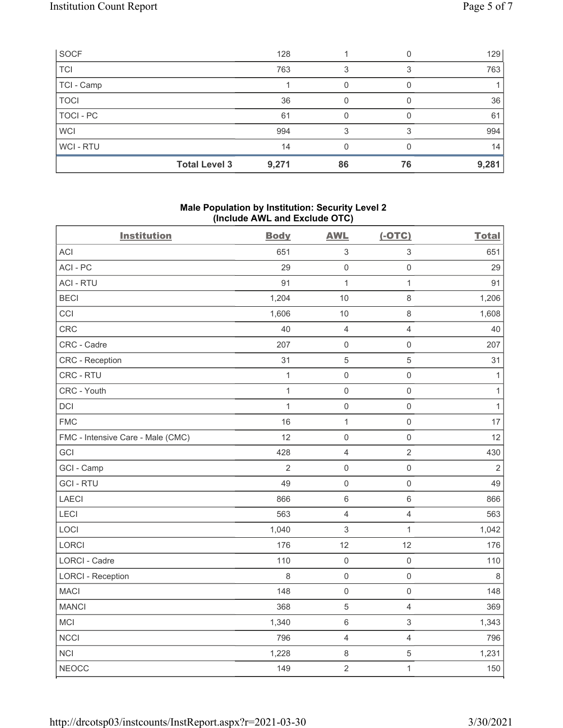| SOCF             |                      | 128   |    |    | 129   |
|------------------|----------------------|-------|----|----|-------|
| <b>TCI</b>       |                      | 763   | 3  |    | 763   |
| TCI - Camp       |                      |       |    |    |       |
| <b>TOCI</b>      |                      | 36    | 0  |    | 36    |
| <b>TOCI - PC</b> |                      | 61    |    |    | 61    |
| <b>WCI</b>       |                      | 994   | 3  |    | 994   |
| WCI - RTU        |                      | 14    |    |    | 14    |
|                  | <b>Total Level 3</b> | 9,271 | 86 | 76 | 9,281 |

## Male Population by Institution: Security Level 2 (Include AWL and Exclude OTC)

| <b>Institution</b>                | <b>Body</b>    | <b>AWL</b>                | $(-OTC)$                  | <b>Total</b>   |
|-----------------------------------|----------------|---------------------------|---------------------------|----------------|
| <b>ACI</b>                        | 651            | $\ensuremath{\mathsf{3}}$ | $\ensuremath{\mathsf{3}}$ | 651            |
| ACI-PC                            | 29             | $\mathsf 0$               | $\mathsf{O}\xspace$       | 29             |
| <b>ACI - RTU</b>                  | 91             | $\mathbf{1}$              | $\mathbf{1}$              | 91             |
| <b>BECI</b>                       | 1,204          | 10                        | $\,8\,$                   | 1,206          |
| CCI                               | 1,606          | 10                        | $\,8\,$                   | 1,608          |
| CRC                               | 40             | $\overline{4}$            | $\overline{4}$            | 40             |
| CRC - Cadre                       | 207            | $\mathsf 0$               | $\mathsf 0$               | 207            |
| CRC - Reception                   | 31             | $\mathbf 5$               | $\mathbf 5$               | 31             |
| CRC - RTU                         | $\mathbf{1}$   | $\mathsf{O}\xspace$       | $\mathsf 0$               | $\mathbf{1}$   |
| CRC - Youth                       | $\mathbf{1}$   | $\mathsf 0$               | $\mathsf{O}\xspace$       | $\mathbf{1}$   |
| DCI                               | $\mathbf{1}$   | $\mathsf 0$               | $\mathsf{O}\xspace$       | $\mathbf{1}$   |
| <b>FMC</b>                        | 16             | $\mathbf{1}$              | $\mathsf{O}\xspace$       | 17             |
| FMC - Intensive Care - Male (CMC) | 12             | $\mathsf 0$               | $\mathsf 0$               | 12             |
| GCI                               | 428            | $\sqrt{4}$                | $\sqrt{2}$                | 430            |
| GCI - Camp                        | $\overline{2}$ | $\mathsf 0$               | $\mathsf 0$               | $\overline{2}$ |
| <b>GCI-RTU</b>                    | 49             | $\mathbf 0$               | $\mathsf 0$               | 49             |
| LAECI                             | 866            | $\,6\,$                   | $\,6\,$                   | 866            |
| LECI                              | 563            | $\sqrt{4}$                | $\overline{4}$            | 563            |
| LOCI                              | 1,040          | $\sqrt{3}$                | $\mathbf{1}$              | 1,042          |
| LORCI                             | 176            | 12                        | 12                        | 176            |
| LORCI - Cadre                     | 110            | $\mathsf 0$               | $\mathsf{O}\xspace$       | 110            |
| <b>LORCI - Reception</b>          | $\,8\,$        | $\mathsf 0$               | $\mathsf 0$               | $\,8\,$        |
| <b>MACI</b>                       | 148            | $\mathsf{O}\xspace$       | $\mathsf 0$               | 148            |
| <b>MANCI</b>                      | 368            | $\mathbf 5$               | $\overline{4}$            | 369            |
| MCI                               | 1,340          | $\,6\,$                   | $\ensuremath{\mathsf{3}}$ | 1,343          |
| <b>NCCI</b>                       | 796            | $\overline{4}$            | $\overline{4}$            | 796            |
| <b>NCI</b>                        | 1,228          | $\,8\,$                   | $\sqrt{5}$                | 1,231          |
| <b>NEOCC</b>                      | 149            | $\overline{2}$            | $\mathbf{1}$              | 150            |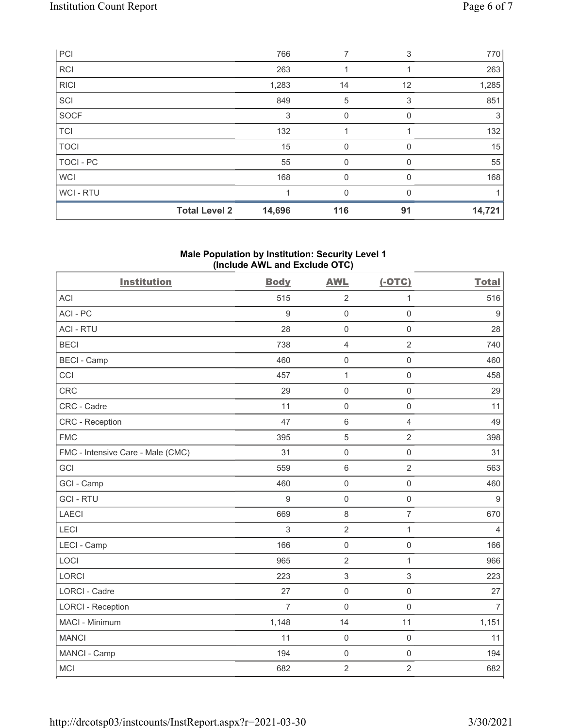|             | <b>Total Level 2</b> | 14,696 | 116      | 91           | 14,721 |
|-------------|----------------------|--------|----------|--------------|--------|
| WCI - RTU   |                      |        | 0        |              |        |
| <b>WCI</b>  |                      | 168    | $\Omega$ | $\Omega$     | 168    |
| TOCI - PC   |                      | 55     | 0        |              | 55     |
| <b>TOCI</b> |                      | 15     | 0        | <sup>0</sup> | 15     |
| <b>TCI</b>  |                      | 132    |          |              | 132    |
| SOCF        |                      | 3      | 0        |              | 3      |
| SCI         |                      | 849    | 5        | 3            | 851    |
| <b>RICI</b> |                      | 1,283  | 14       | 12           | 1,285  |
| <b>RCI</b>  |                      | 263    |          |              | 263    |
| PCI         |                      | 766    | 7        | 3            | 770    |

### Male Population by Institution: Security Level 1 (Include AWL and Exclude OTC)

| <b>Institution</b>                | <b>Body</b>      | <b>AWL</b>          | $(-OTC)$            | <b>Total</b>     |
|-----------------------------------|------------------|---------------------|---------------------|------------------|
| <b>ACI</b>                        | 515              | $\overline{2}$      | 1                   | 516              |
| ACI-PC                            | $\boldsymbol{9}$ | $\mathbf 0$         | $\mathsf 0$         | $\boldsymbol{9}$ |
| <b>ACI - RTU</b>                  | 28               | $\mathbf 0$         | $\mathsf 0$         | 28               |
| <b>BECI</b>                       | 738              | $\overline{4}$      | $\overline{2}$      | 740              |
| <b>BECI - Camp</b>                | 460              | $\mathsf{O}\xspace$ | $\mathsf 0$         | 460              |
| CCI                               | 457              | $\mathbf 1$         | $\mathsf 0$         | 458              |
| CRC                               | 29               | $\mathsf{O}\xspace$ | $\mathsf 0$         | 29               |
| CRC - Cadre                       | 11               | $\mathbf 0$         | $\mathbf 0$         | 11               |
| CRC - Reception                   | 47               | $\,6\,$             | $\overline{4}$      | 49               |
| <b>FMC</b>                        | 395              | 5                   | $\overline{2}$      | 398              |
| FMC - Intensive Care - Male (CMC) | 31               | $\mathbf 0$         | $\mathsf{O}\xspace$ | 31               |
| GCI                               | 559              | $\,6\,$             | $\overline{2}$      | 563              |
| GCI - Camp                        | 460              | $\mathsf{O}\xspace$ | $\mathsf 0$         | 460              |
| <b>GCI-RTU</b>                    | $\boldsymbol{9}$ | $\mathsf{O}\xspace$ | $\mathsf 0$         | $\boldsymbol{9}$ |
| <b>LAECI</b>                      | 669              | $\,8\,$             | $\overline{7}$      | 670              |
| LECI                              | 3                | $\overline{2}$      | $\mathbf{1}$        | $\overline{4}$   |
| LECI - Camp                       | 166              | $\mathsf{O}\xspace$ | $\mathbf 0$         | 166              |
| LOCI                              | 965              | $\overline{2}$      | $\mathbf{1}$        | 966              |
| <b>LORCI</b>                      | 223              | $\sqrt{3}$          | 3                   | 223              |
| <b>LORCI - Cadre</b>              | 27               | $\mathbf 0$         | $\mathsf 0$         | 27               |
| <b>LORCI - Reception</b>          | $\overline{7}$   | $\mathbf 0$         | $\mathbf 0$         | $\overline{7}$   |
| MACI - Minimum                    | 1,148            | 14                  | 11                  | 1,151            |
| <b>MANCI</b>                      | 11               | $\mathbf 0$         | $\mathsf 0$         | 11               |
| MANCI - Camp                      | 194              | $\mathsf{O}\xspace$ | $\mathsf 0$         | 194              |
| <b>MCI</b>                        | 682              | $\overline{2}$      | $\overline{2}$      | 682              |